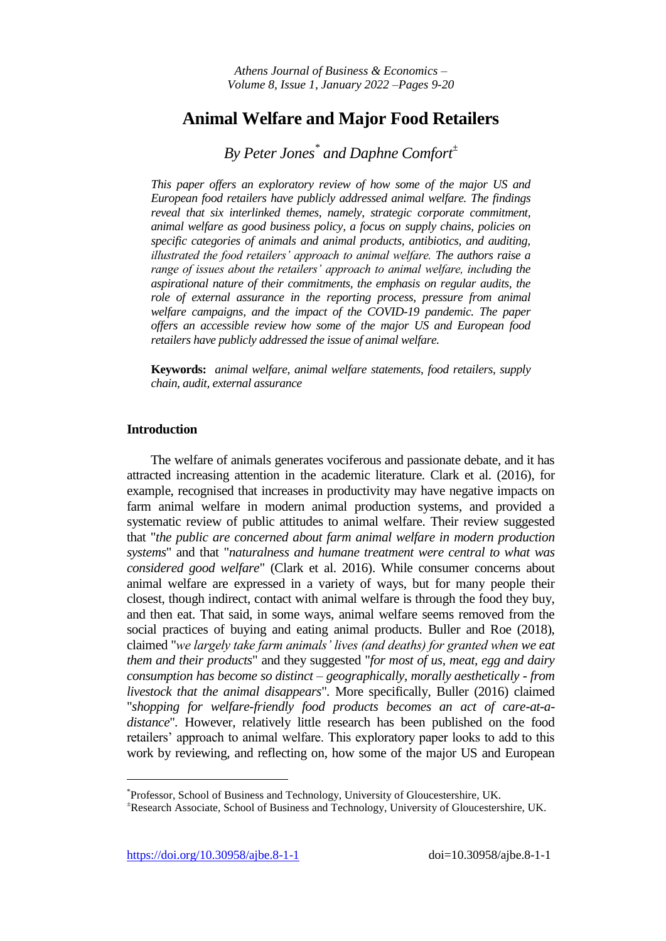# **Animal Welfare and Major Food Retailers**

# *By Peter Jones\* and Daphne Comfort<sup>±</sup>*

*This paper offers an exploratory review of how some of the major US and European food retailers have publicly addressed animal welfare. The findings reveal that six interlinked themes, namely, strategic corporate commitment, animal welfare as good business policy, a focus on supply chains, policies on specific categories of animals and animal products, antibiotics, and auditing, illustrated the food retailers' approach to animal welfare. The authors raise a range of issues about the retailers' approach to animal welfare, including the aspirational nature of their commitments, the emphasis on regular audits, the*  role of external assurance in the reporting process, pressure from animal *welfare campaigns, and the impact of the COVID-19 pandemic. The paper offers an accessible review how some of the major US and European food retailers have publicly addressed the issue of animal welfare.* 

**Keywords:** *animal welfare, animal welfare statements, food retailers, supply chain, audit, external assurance*

## **Introduction**

The welfare of animals generates vociferous and passionate debate, and it has attracted increasing attention in the academic literature. Clark et al. (2016), for example, recognised that increases in productivity may have negative impacts on farm animal welfare in modern animal production systems, and provided a systematic review of public attitudes to animal welfare. Their review suggested that "*the public are concerned about farm animal welfare in modern production systems*" and that "*naturalness and humane treatment were central to what was considered good welfare*" (Clark et al. 2016). While consumer concerns about animal welfare are expressed in a variety of ways, but for many people their closest, though indirect, contact with animal welfare is through the food they buy, and then eat. That said, in some ways, animal welfare seems removed from the social practices of buying and eating animal products. Buller and Roe (2018), claimed "*we largely take farm animals' lives (and deaths) for granted when we eat them and their products*" and they suggested "*for most of us, meat, egg and dairy consumption has become so distinct – geographically, morally aesthetically - from livestock that the animal disappears*"*.* More specifically, Buller (2016) claimed "*shopping for welfare-friendly food products becomes an act of care-at-adistance*"*.* However, relatively little research has been published on the food retailers' approach to animal welfare. This exploratory paper looks to add to this work by reviewing, and reflecting on, how some of the major US and European

 $\overline{a}$ 

<sup>\*</sup> Professor, School of Business and Technology, University of Gloucestershire, UK.

<sup>±</sup>Research Associate, School of Business and Technology, University of Gloucestershire, UK.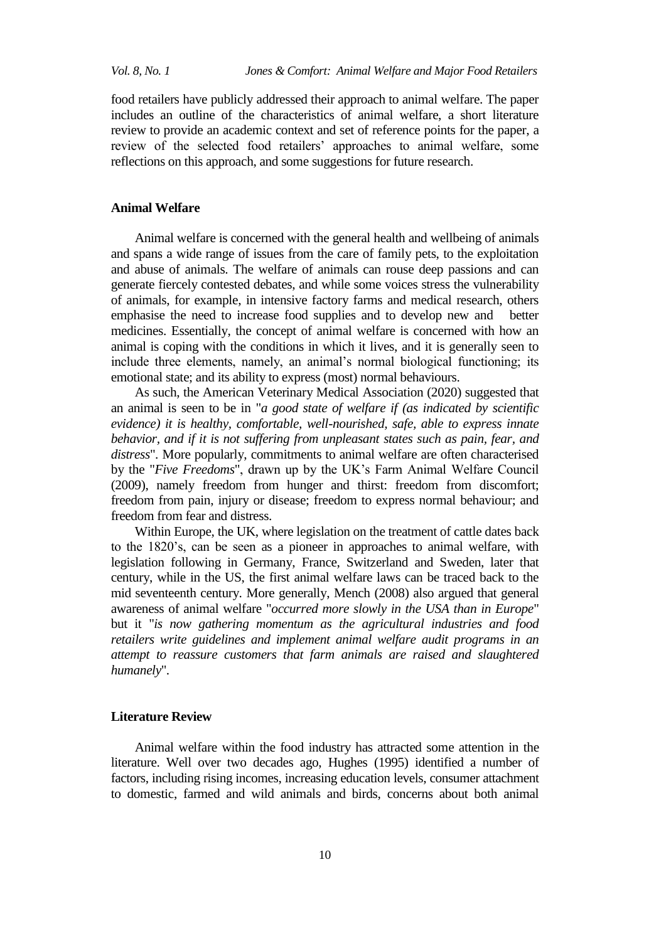food retailers have publicly addressed their approach to animal welfare. The paper includes an outline of the characteristics of animal welfare, a short literature review to provide an academic context and set of reference points for the paper, a review of the selected food retailers' approaches to animal welfare, some reflections on this approach, and some suggestions for future research.

### **Animal Welfare**

Animal welfare is concerned with the general health and wellbeing of animals and spans a wide range of issues from the care of family pets, to the exploitation and abuse of animals. The welfare of animals can rouse deep passions and can generate fiercely contested debates, and while some voices stress the vulnerability of animals, for example, in intensive factory farms and medical research, others emphasise the need to increase food supplies and to develop new and better medicines. Essentially, the concept of animal welfare is concerned with how an animal is coping with the conditions in which it lives, and it is generally seen to include three elements, namely, an animal's normal biological functioning; its emotional state; and its ability to express (most) normal behaviours.

As such, the American Veterinary Medical Association (2020) suggested that an animal is seen to be in "*a good state of welfare if (as indicated by scientific evidence) it is healthy, comfortable, well-nourished, safe, able to express innate behavior, and if it is not suffering from unpleasant states such as pain, fear, and distress*"*.* More popularly, commitments to animal welfare are often characterised by the "*Five Freedoms*", drawn up by the UK's Farm Animal Welfare Council (2009), namely freedom from hunger and thirst: freedom from discomfort; freedom from pain, injury or disease; freedom to express normal behaviour; and freedom from fear and distress.

Within Europe, the UK, where legislation on the treatment of cattle dates back to the 1820's, can be seen as a pioneer in approaches to animal welfare, with legislation following in Germany, France, Switzerland and Sweden, later that century, while in the US, the first animal welfare laws can be traced back to the mid seventeenth century. More generally, Mench (2008) also argued that general awareness of animal welfare "*occurred more slowly in the USA than in Europe*" but it "*is now gathering momentum as the agricultural industries and food retailers write guidelines and implement animal welfare audit programs in an attempt to reassure customers that farm animals are raised and slaughtered humanely*"*.*

## **Literature Review**

Animal welfare within the food industry has attracted some attention in the literature. Well over two decades ago, Hughes (1995) identified a number of factors, including rising incomes, increasing education levels, consumer attachment to domestic, farmed and wild animals and birds, concerns about both animal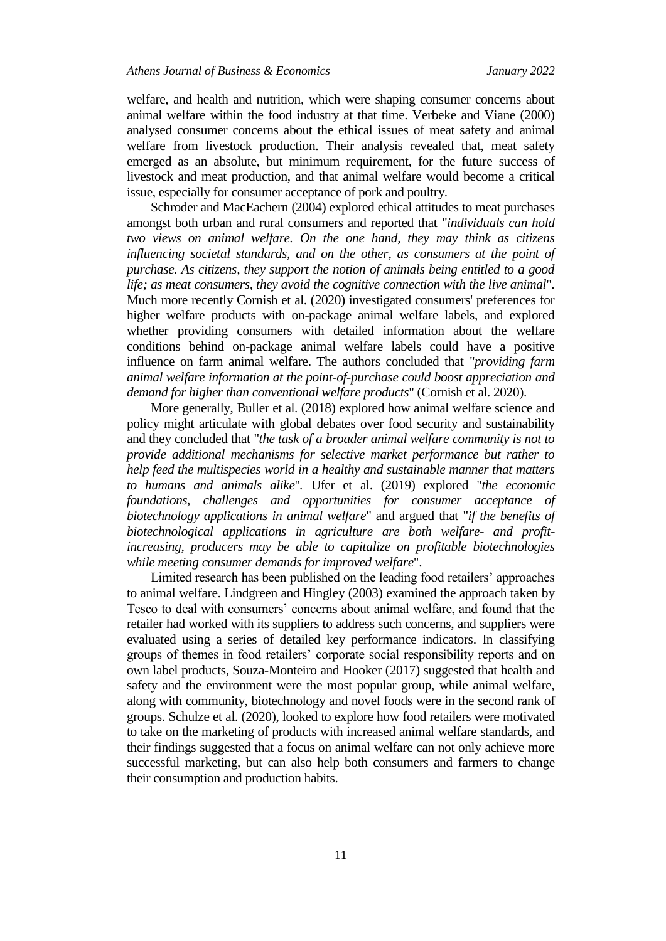welfare, and health and nutrition, which were shaping consumer concerns about animal welfare within the food industry at that time. Verbeke and Viane (2000) analysed consumer concerns about the ethical issues of meat safety and animal welfare from livestock production. Their analysis revealed that, meat safety emerged as an absolute, but minimum requirement, for the future success of livestock and meat production, and that animal welfare would become a critical issue, especially for consumer acceptance of pork and poultry.

Schroder and MacEachern (2004) explored ethical attitudes to meat purchases amongst both urban and rural consumers and reported that "*individuals can hold two views on animal welfare. On the one hand, they may think as citizens influencing societal standards, and on the other, as consumers at the point of purchase. As citizens, they support the notion of animals being entitled to a good life; as meat consumers, they avoid the cognitive connection with the live animal*"*.* Much more recently Cornish et al. (2020) investigated consumers' preferences for higher welfare products with on-package animal welfare labels, and explored whether providing consumers with detailed information about the welfare conditions behind on-package animal welfare labels could have a positive influence on farm animal welfare. The authors concluded that "*providing farm animal welfare information at the point-of-purchase could boost appreciation and demand for higher than conventional welfare products*" (Cornish et al. 2020).

More generally, Buller et al. (2018) explored how animal welfare science and policy might articulate with global debates over food security and sustainability and they concluded that "*the task of a broader animal welfare community is not to provide additional mechanisms for selective market performance but rather to help feed the multispecies world in a healthy and sustainable manner that matters to humans and animals alike*"*.* Ufer et al. (2019) explored "*the economic foundations, challenges and opportunities for consumer acceptance of biotechnology applications in animal welfare*" and argued that "*if the benefits of biotechnological applications in agriculture are both welfare- and profitincreasing, producers may be able to capitalize on profitable biotechnologies while meeting consumer demands for improved welfare*".

Limited research has been published on the leading food retailers' approaches to animal welfare. Lindgreen and Hingley (2003) examined the approach taken by Tesco to deal with consumers' concerns about animal welfare, and found that the retailer had worked with its suppliers to address such concerns, and suppliers were evaluated using a series of detailed key performance indicators. In classifying groups of themes in food retailers' corporate social responsibility reports and on own label products, Souza-Monteiro and Hooker (2017) suggested that health and safety and the environment were the most popular group, while animal welfare, along with community, biotechnology and novel foods were in the second rank of groups. Schulze et al. (2020), looked to explore how food retailers were motivated to take on the marketing of products with increased animal welfare standards, and their findings suggested that a focus on animal welfare can not only achieve more successful marketing, but can also help both consumers and farmers to change their consumption and production habits.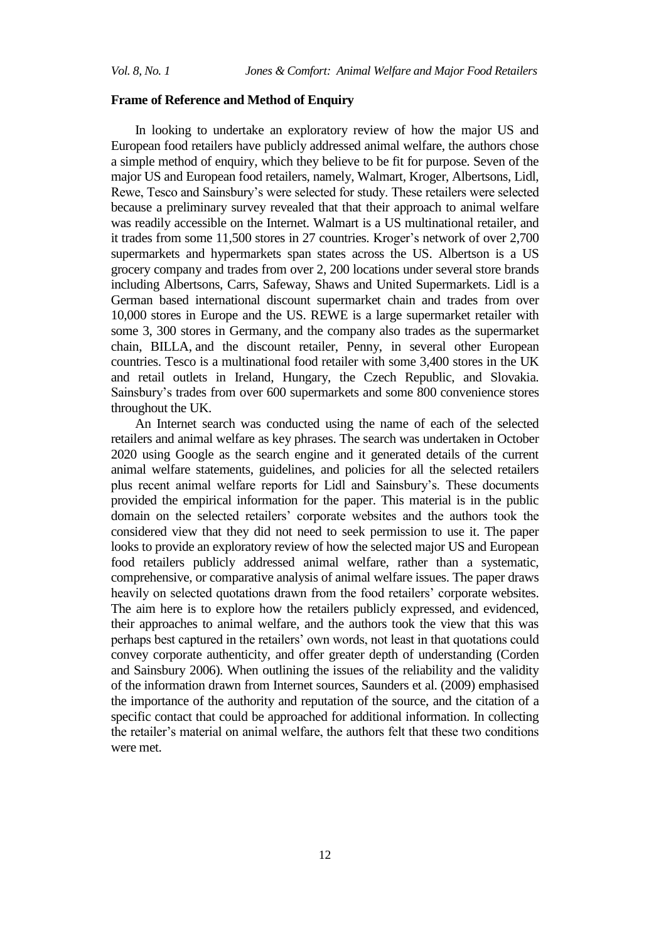#### **Frame of Reference and Method of Enquiry**

In looking to undertake an exploratory review of how the major US and European food retailers have publicly addressed animal welfare, the authors chose a simple method of enquiry, which they believe to be fit for purpose. Seven of the major US and European food retailers, namely, Walmart, Kroger, Albertsons, Lidl, Rewe, Tesco and Sainsbury's were selected for study. These retailers were selected because a preliminary survey revealed that that their approach to animal welfare was readily accessible on the Internet. Walmart is a US multinational retailer, and it trades from some 11,500 stores in 27 countries. Kroger's network of over 2,700 supermarkets and hypermarkets span states across the US. Albertson is a US grocery company and trades from over 2, 200 locations under several store brands including Albertsons, Carrs, Safeway, Shaws and United Supermarkets. Lidl is a German based international discount supermarket chain and trades from over 10,000 stores in Europe and the US. REWE is a large supermarket retailer with some 3, 300 stores in Germany, and the company also trades as the supermarket chain, BILLA, and the discount retailer, Penny, in several other European countries. Tesco is a multinational food retailer with some 3,400 stores in the UK and retail outlets in Ireland, Hungary, the Czech Republic, and Slovakia. Sainsbury's trades from over 600 supermarkets and some 800 convenience stores throughout the UK.

An Internet search was conducted using the name of each of the selected retailers and animal welfare as key phrases. The search was undertaken in October 2020 using Google as the search engine and it generated details of the current animal welfare statements, guidelines, and policies for all the selected retailers plus recent animal welfare reports for Lidl and Sainsbury's. These documents provided the empirical information for the paper. This material is in the public domain on the selected retailers' corporate websites and the authors took the considered view that they did not need to seek permission to use it. The paper looks to provide an exploratory review of how the selected major US and European food retailers publicly addressed animal welfare, rather than a systematic, comprehensive, or comparative analysis of animal welfare issues. The paper draws heavily on selected quotations drawn from the food retailers' corporate websites. The aim here is to explore how the retailers publicly expressed, and evidenced, their approaches to animal welfare, and the authors took the view that this was perhaps best captured in the retailers' own words, not least in that quotations could convey corporate authenticity, and offer greater depth of understanding (Corden and Sainsbury 2006). When outlining the issues of the reliability and the validity of the information drawn from Internet sources, Saunders et al. (2009) emphasised the importance of the authority and reputation of the source, and the citation of a specific contact that could be approached for additional information. In collecting the retailer's material on animal welfare, the authors felt that these two conditions were met.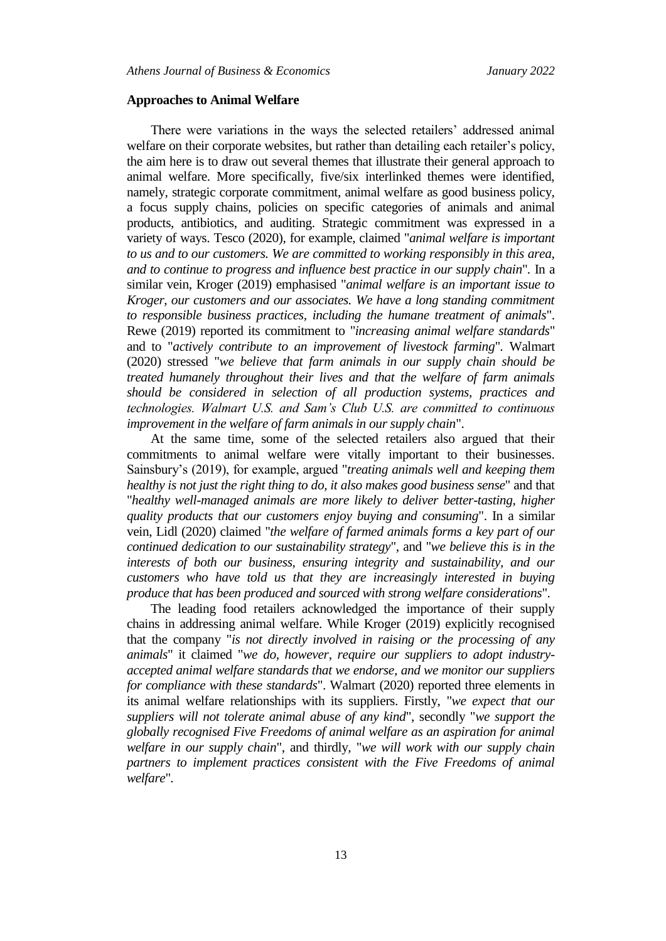#### **Approaches to Animal Welfare**

There were variations in the ways the selected retailers' addressed animal welfare on their corporate websites, but rather than detailing each retailer's policy, the aim here is to draw out several themes that illustrate their general approach to animal welfare. More specifically, five/six interlinked themes were identified, namely, strategic corporate commitment, animal welfare as good business policy, a focus supply chains, policies on specific categories of animals and animal products, antibiotics, and auditing. Strategic commitment was expressed in a variety of ways. Tesco (2020), for example, claimed "*animal welfare is important to us and to our customers. We are committed to working responsibly in this area, and to continue to progress and influence best practice in our supply chain*"*.* In a similar vein, Kroger (2019) emphasised "*animal welfare is an important issue to Kroger, our customers and our associates. We have a long standing commitment to responsible business practices, including the humane treatment of animals*". Rewe (2019) reported its commitment to "*increasing animal welfare standards*" and to "*actively contribute to an improvement of livestock farming*"*.* Walmart (2020) stressed "*we believe that farm animals in our supply chain should be treated humanely throughout their lives and that the welfare of farm animals should be considered in selection of all production systems, practices and technologies. Walmart U.S. and Sam's Club U.S. are committed to continuous improvement in the welfare of farm animals in our supply chain*".

At the same time, some of the selected retailers also argued that their commitments to animal welfare were vitally important to their businesses. Sainsbury's (2019), for example, argued "*treating animals well and keeping them healthy is not just the right thing to do, it also makes good business sense*" and that "*healthy well-managed animals are more likely to deliver better-tasting, higher quality products that our customers enjoy buying and consuming*". In a similar vein, Lidl (2020) claimed "*the welfare of farmed animals forms a key part of our continued dedication to our sustainability strategy*", and "*we believe this is in the interests of both our business, ensuring integrity and sustainability, and our customers who have told us that they are increasingly interested in buying produce that has been produced and sourced with strong welfare considerations*".

The leading food retailers acknowledged the importance of their supply chains in addressing animal welfare. While Kroger (2019) explicitly recognised that the company "*is not directly involved in raising or the processing of any animals*" it claimed "*we do, however, require our suppliers to adopt industryaccepted animal welfare standards that we endorse, and we monitor our suppliers for compliance with these standards*". Walmart (2020) reported three elements in its animal welfare relationships with its suppliers. Firstly, "*we expect that our suppliers will not tolerate animal abuse of any kind*", secondly "*we support the globally recognised Five Freedoms of animal welfare as an aspiration for animal welfare in our supply chain*", and thirdly*,* "*we will work with our supply chain partners to implement practices consistent with the Five Freedoms of animal welfare*"*.*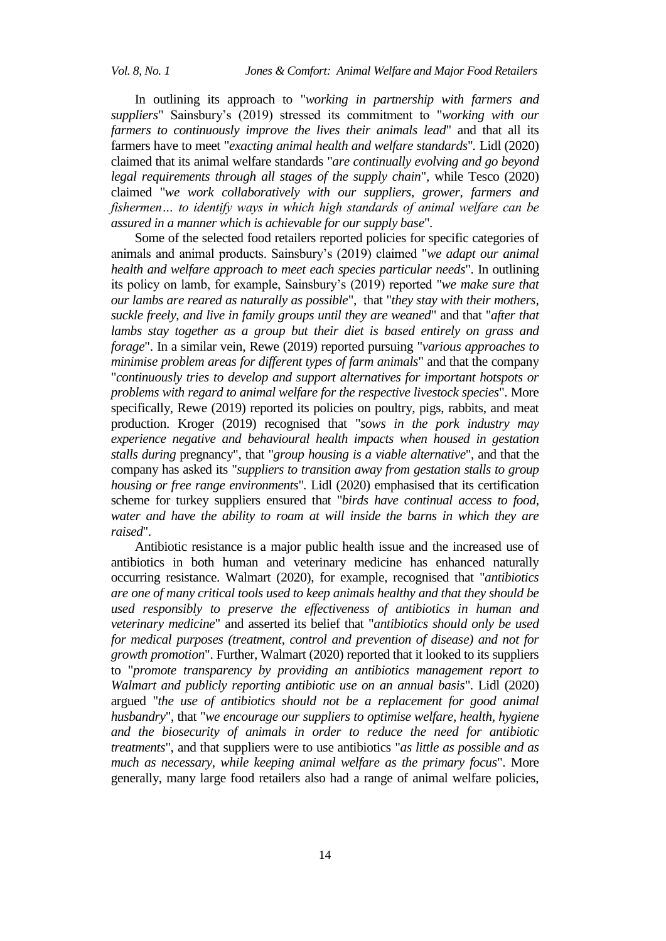In outlining its approach to "*working in partnership with farmers and suppliers*" Sainsbury's (2019) stressed its commitment to "*working with our farmers to continuously improve the lives their animals lead*" and that all its farmers have to meet "*exacting animal health and welfare standards*"*.* Lidl (2020) claimed that its animal welfare standards "*are continually evolving and go beyond legal requirements through all stages of the supply chain*"*,* while Tesco (2020) claimed "*we work collaboratively with our suppliers, grower, farmers and fishermen… to identify ways in which high standards of animal welfare can be assured in a manner which is achievable for our supply base*".

Some of the selected food retailers reported policies for specific categories of animals and animal products. Sainsbury's (2019) claimed "*we adapt our animal health and welfare approach to meet each species particular needs*". In outlining its policy on lamb, for example, Sainsbury's (2019) reported "*we make sure that our lambs are reared as naturally as possible*", that "*they stay with their mothers, suckle freely, and live in family groups until they are weaned*" and that "*after that lambs stay together as a group but their diet is based entirely on grass and forage*". In a similar vein, Rewe (2019) reported pursuing "*various approaches to minimise problem areas for different types of farm animals*" and that the company "*continuously tries to develop and support alternatives for important hotspots or problems with regard to animal welfare for the respective livestock species*". More specifically, Rewe (2019) reported its policies on poultry, pigs, rabbits, and meat production. Kroger (2019) recognised that "*sows in the pork industry may experience negative and behavioural health impacts when housed in gestation stalls during* pregnancy", that "*group housing is a viable alternative*", and that the company has asked its "*suppliers to transition away from gestation stalls to group housing or free range environments*"*.* Lidl (2020) emphasised that its certification scheme for turkey suppliers ensured that "*birds have continual access to food, water and have the ability to roam at will inside the barns in which they are raised*".

Antibiotic resistance is a major public health issue and the increased use of antibiotics in both human and veterinary medicine has enhanced naturally occurring resistance. Walmart (2020), for example, recognised that "*antibiotics are one of many critical tools used to keep animals healthy and that they should be used responsibly to preserve the effectiveness of antibiotics in human and veterinary medicine*" and asserted its belief that "*antibiotics should only be used for medical purposes (treatment, control and prevention of disease) and not for growth promotion*". Further, Walmart (2020) reported that it looked to its suppliers to "*promote transparency by providing an antibiotics management report to Walmart and publicly reporting antibiotic use on an annual basis*". Lidl (2020) argued "*the use of antibiotics should not be a replacement for good animal husbandry*", that "*we encourage our suppliers to optimise welfare, health, hygiene and the biosecurity of animals in order to reduce the need for antibiotic treatments*", and that suppliers were to use antibiotics "*as little as possible and as much as necessary, while keeping animal welfare as the primary focus*". More generally, many large food retailers also had a range of animal welfare policies,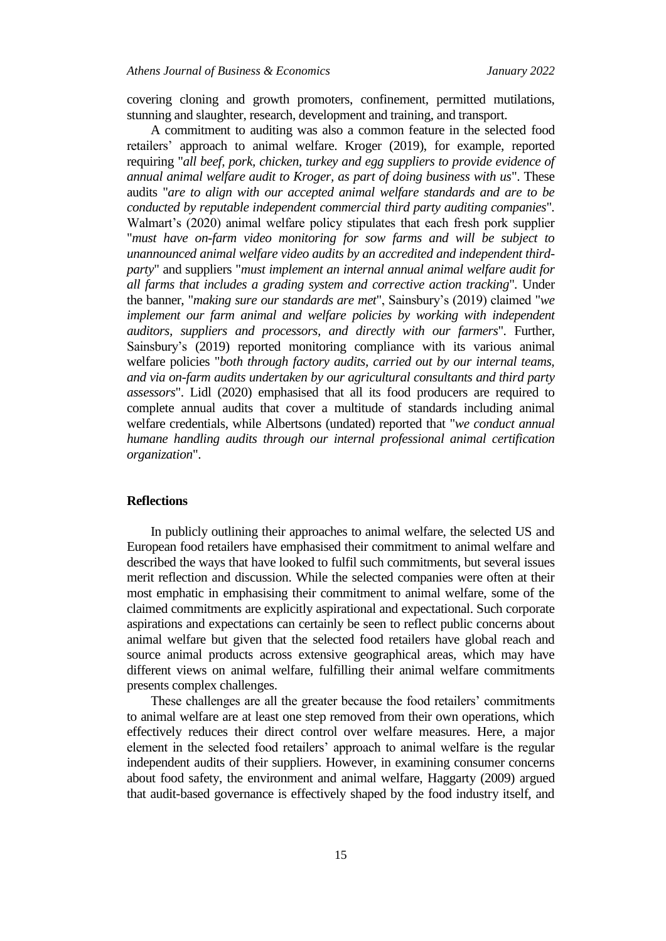covering cloning and growth promoters, confinement, permitted mutilations, stunning and slaughter, research, development and training, and transport.

A commitment to auditing was also a common feature in the selected food retailers' approach to animal welfare. Kroger (2019), for example, reported requiring "*all beef, pork, chicken, turkey and egg suppliers to provide evidence of annual animal welfare audit to Kroger, as part of doing business with us*". These audits "*are to align with our accepted animal welfare standards and are to be conducted by reputable independent commercial third party auditing companies*"*.* Walmart's (2020) animal welfare policy stipulates that each fresh pork supplier "*must have on-farm video monitoring for sow farms and will be subject to unannounced animal welfare video audits by an accredited and independent thirdparty*" and suppliers "*must implement an internal annual animal welfare audit for all farms that includes a grading system and corrective action tracking*"*.* Under the banner, "*making sure our standards are met*", Sainsbury's (2019) claimed "*we implement our farm animal and welfare policies by working with independent auditors, suppliers and processors, and directly with our farmers*". Further, Sainsbury's (2019) reported monitoring compliance with its various animal welfare policies "*both through factory audits, carried out by our internal teams, and via on-farm audits undertaken by our agricultural consultants and third party assessors*". Lidl (2020) emphasised that all its food producers are required to complete annual audits that cover a multitude of standards including animal welfare credentials, while Albertsons (undated) reported that "*we conduct annual humane handling audits through our internal professional animal certification organization*".

### **Reflections**

In publicly outlining their approaches to animal welfare, the selected US and European food retailers have emphasised their commitment to animal welfare and described the ways that have looked to fulfil such commitments, but several issues merit reflection and discussion. While the selected companies were often at their most emphatic in emphasising their commitment to animal welfare, some of the claimed commitments are explicitly aspirational and expectational. Such corporate aspirations and expectations can certainly be seen to reflect public concerns about animal welfare but given that the selected food retailers have global reach and source animal products across extensive geographical areas, which may have different views on animal welfare, fulfilling their animal welfare commitments presents complex challenges.

These challenges are all the greater because the food retailers' commitments to animal welfare are at least one step removed from their own operations, which effectively reduces their direct control over welfare measures. Here, a major element in the selected food retailers' approach to animal welfare is the regular independent audits of their suppliers. However, in examining consumer concerns about food safety, the environment and animal welfare, Haggarty (2009) argued that audit-based governance is effectively shaped by the food industry itself, and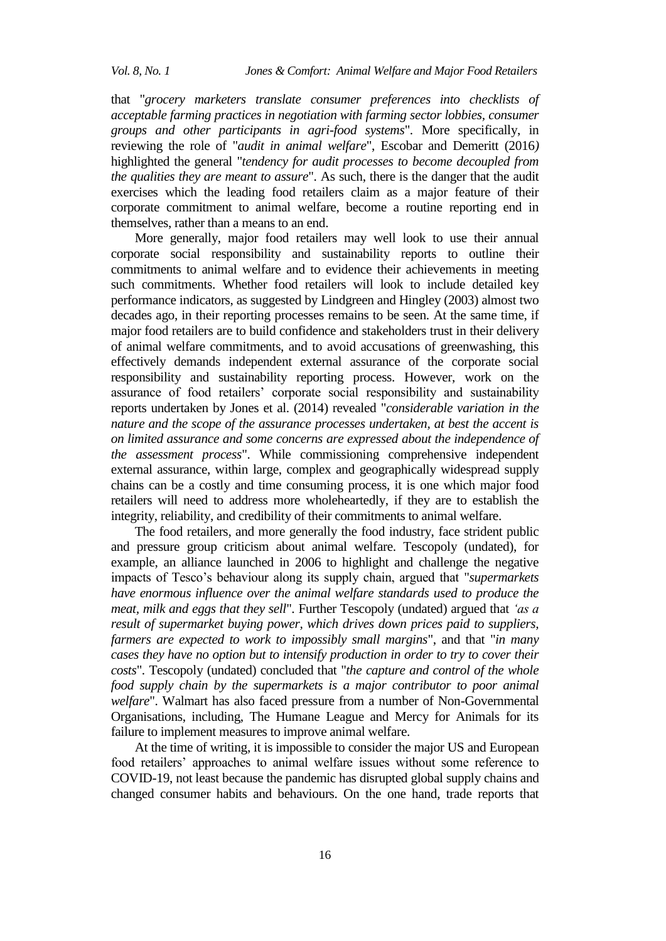that "*grocery marketers translate consumer preferences into checklists of acceptable farming practices in negotiation with farming sector lobbies, consumer groups and other participants in agri-food systems*". More specifically, in reviewing the role of "*audit in animal welfare*", Escobar and Demeritt (2016*)*  highlighted the general "*tendency for audit processes to become decoupled from the qualities they are meant to assure*". As such, there is the danger that the audit exercises which the leading food retailers claim as a major feature of their corporate commitment to animal welfare, become a routine reporting end in themselves, rather than a means to an end.

More generally, major food retailers may well look to use their annual corporate social responsibility and sustainability reports to outline their commitments to animal welfare and to evidence their achievements in meeting such commitments. Whether food retailers will look to include detailed key performance indicators, as suggested by Lindgreen and Hingley (2003) almost two decades ago, in their reporting processes remains to be seen. At the same time, if major food retailers are to build confidence and stakeholders trust in their delivery of animal welfare commitments, and to avoid accusations of greenwashing, this effectively demands independent external assurance of the corporate social responsibility and sustainability reporting process. However, work on the assurance of food retailers' corporate social responsibility and sustainability reports undertaken by Jones et al. (2014) revealed "*considerable variation in the nature and the scope of the assurance processes undertaken, at best the accent is on limited assurance and some concerns are expressed about the independence of the assessment process*". While commissioning comprehensive independent external assurance, within large, complex and geographically widespread supply chains can be a costly and time consuming process, it is one which major food retailers will need to address more wholeheartedly, if they are to establish the integrity, reliability, and credibility of their commitments to animal welfare.

The food retailers, and more generally the food industry, face strident public and pressure group criticism about animal welfare. Tescopoly (undated), for example, an alliance launched in 2006 to highlight and challenge the negative impacts of Tesco's behaviour along its supply chain, argued that "*supermarkets have enormous influence over the animal welfare standards used to produce the meat, milk and eggs that they sell*". Further Tescopoly (undated) argued that *'as a result of supermarket buying power, which drives down prices paid to suppliers, farmers are expected to work to impossibly small margins*", and that "*in many cases they have no option but to intensify production in order to try to cover their costs*". Tescopoly (undated) concluded that "*the capture and control of the whole food supply chain by the supermarkets is a major contributor to poor animal welfare*". Walmart has also faced pressure from a number of Non-Governmental Organisations, including, The Humane League and Mercy for Animals for its failure to implement measures to improve animal welfare.

At the time of writing, it is impossible to consider the major US and European food retailers' approaches to animal welfare issues without some reference to COVID-19, not least because the pandemic has disrupted global supply chains and changed consumer habits and behaviours. On the one hand, trade reports that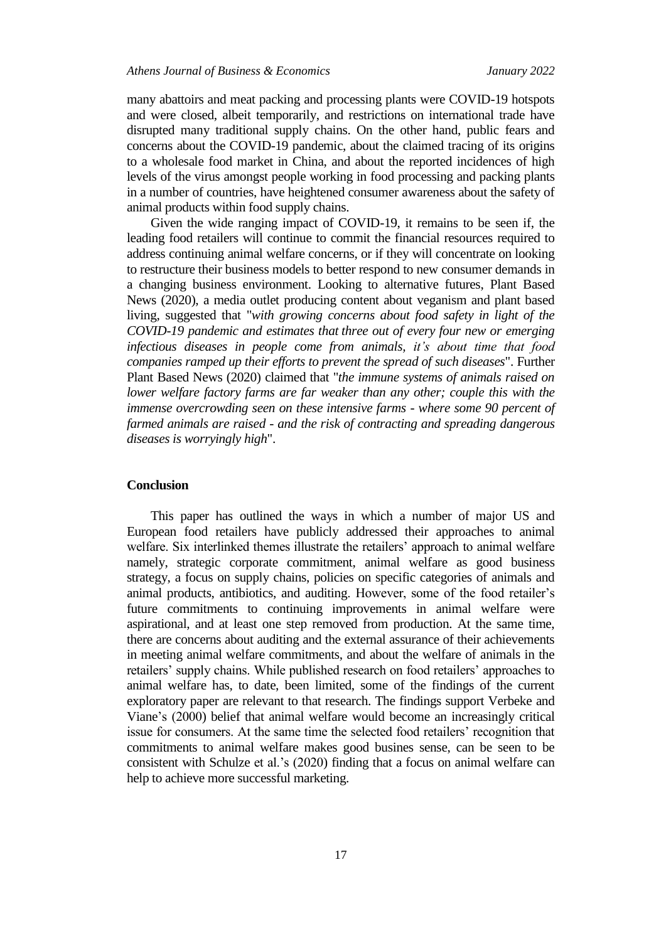many abattoirs and meat packing and processing plants were COVID-19 hotspots and were closed, albeit temporarily, and restrictions on international trade have disrupted many traditional supply chains. On the other hand, public fears and concerns about the COVID-19 pandemic, about the claimed tracing of its origins to a wholesale food market in China, and about the reported incidences of high levels of the virus amongst people working in food processing and packing plants in a number of countries, have heightened consumer awareness about the safety of animal products within food supply chains.

Given the wide ranging impact of COVID-19, it remains to be seen if, the leading food retailers will continue to commit the financial resources required to address continuing animal welfare concerns, or if they will concentrate on looking to restructure their business models to better respond to new consumer demands in a changing business environment. Looking to alternative futures, Plant Based News (2020), a media outlet producing content about veganism and plant based living, suggested that "*with growing concerns about food safety in light of the COVID-19 pandemic and estimates that [three out of every four new or emerging](https://www.cdc.gov/onehealth/basics/zoonotic-diseases.html)  [infectious diseases in people come from animals,](https://www.cdc.gov/onehealth/basics/zoonotic-diseases.html) it's about time that food companies ramped up their efforts to prevent the spread of such diseases*". Further Plant Based News (2020) claimed that "*the immune systems of animals raised on lower welfare factory farms are far weaker than any other; couple this with the immense overcrowding seen on these intensive farms - where some 90 percent of farmed animals are raised - and the risk of contracting and spreading dangerous diseases is worryingly high*".

### **Conclusion**

This paper has outlined the ways in which a number of major US and European food retailers have publicly addressed their approaches to animal welfare. Six interlinked themes illustrate the retailers' approach to animal welfare namely, strategic corporate commitment, animal welfare as good business strategy, a focus on supply chains, policies on specific categories of animals and animal products, antibiotics, and auditing. However, some of the food retailer's future commitments to continuing improvements in animal welfare were aspirational, and at least one step removed from production. At the same time, there are concerns about auditing and the external assurance of their achievements in meeting animal welfare commitments, and about the welfare of animals in the retailers' supply chains. While published research on food retailers' approaches to animal welfare has, to date, been limited, some of the findings of the current exploratory paper are relevant to that research. The findings support Verbeke and Viane's (2000) belief that animal welfare would become an increasingly critical issue for consumers. At the same time the selected food retailers' recognition that commitments to animal welfare makes good busines sense, can be seen to be consistent with Schulze et al.'s (2020) finding that a focus on animal welfare can help to achieve more successful marketing.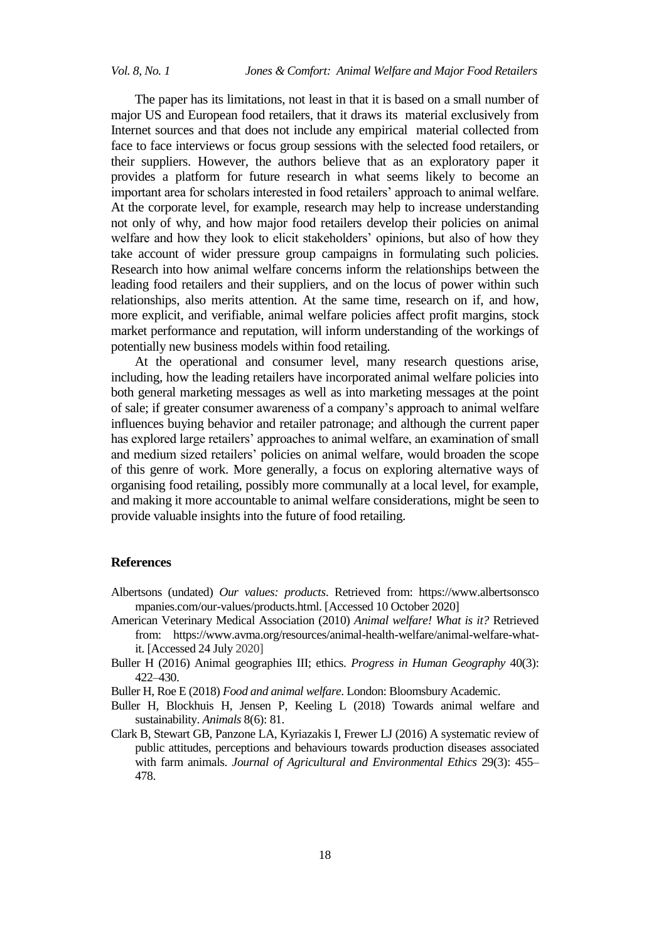The paper has its limitations, not least in that it is based on a small number of major US and European food retailers, that it draws its material exclusively from Internet sources and that does not include any empirical material collected from face to face interviews or focus group sessions with the selected food retailers, or their suppliers. However, the authors believe that as an exploratory paper it provides a platform for future research in what seems likely to become an important area for scholars interested in food retailers' approach to animal welfare. At the corporate level, for example, research may help to increase understanding not only of why, and how major food retailers develop their policies on animal welfare and how they look to elicit stakeholders' opinions, but also of how they take account of wider pressure group campaigns in formulating such policies. Research into how animal welfare concerns inform the relationships between the leading food retailers and their suppliers, and on the locus of power within such relationships, also merits attention. At the same time, research on if, and how, more explicit, and verifiable, animal welfare policies affect profit margins, stock market performance and reputation, will inform understanding of the workings of potentially new business models within food retailing.

At the operational and consumer level, many research questions arise, including, how the leading retailers have incorporated animal welfare policies into both general marketing messages as well as into marketing messages at the point of sale; if greater consumer awareness of a company's approach to animal welfare influences buying behavior and retailer patronage; and although the current paper has explored large retailers' approaches to animal welfare, an examination of small and medium sized retailers' policies on animal welfare, would broaden the scope of this genre of work. More generally, a focus on exploring alternative ways of organising food retailing, possibly more communally at a local level, for example, and making it more accountable to animal welfare considerations, might be seen to provide valuable insights into the future of food retailing.

#### **References**

- Albertsons (undated) *Our values: products*. Retrieved from: https://www.albertsonsco mpanies.com/our-values/products.html. [Accessed 10 October 2020]
- American Veterinary Medical Association (2010) *Animal welfare! What is it?* Retrieved from: [https://www.avma.org/resources/animal-health-welfare/animal-welfare-what](https://www.avma.org/resources/animal-health-welfare/animal-welfare-what-it)[it.](https://www.avma.org/resources/animal-health-welfare/animal-welfare-what-it) [Accessed 24 July 2020]
- Buller H (2016) Animal geographies III; ethics. *Progress in Human Geography* 40(3): 422–430.
- Buller H, Roe E (2018) *Food and animal welfare*. London: Bloomsbury Academic.
- Buller H, Blockhuis H, Jensen P, Keeling L (2018) Towards animal welfare and sustainability. *Animals* 8(6): 81.
- Clark B, Stewart GB, Panzone LA, Kyriazakis I, Frewer LJ (2016) A systematic review of public attitudes, perceptions and behaviours towards production diseases associated with farm animals. *Journal of Agricultural and Environmental Ethics* 29(3): 455– 478.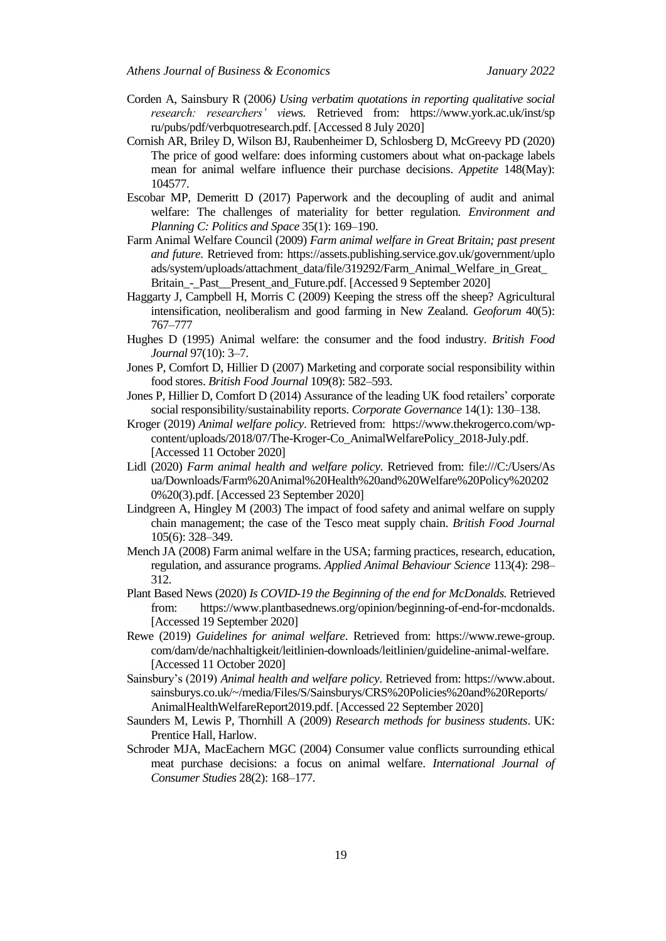- Corden A, Sainsbury R (2006*) Using verbatim quotations in reporting qualitative social research: researchers' views.* Retrieved from: https://www.york.ac.uk/inst/sp ru/pubs/pdf/verbquotresearch.pdf. [Accessed 8 July 2020]
- Cornish AR, Briley D, Wilson BJ, Raubenheimer D, Schlosberg D, McGreevy PD (2020) The price of good welfare: does informing customers about what on-package labels mean for animal welfare influence their purchase decisions. *Appetite* 148(May): 104577.
- Escobar MP, Demeritt D (2017) Paperwork and the decoupling of audit and animal welfare: The challenges of materiality for better regulation*. Environment and Planning C: Politics and Space* 35(1): 169–190.
- Farm Animal Welfare Council (2009) *Farm animal welfare in Great Britain; past present and future.* Retrieved from: https://assets.publishing.service.gov.uk/government/uplo ads/system/uploads/attachment\_data/file/319292/Farm\_Animal\_Welfare\_in\_Great\_ Britain\_-\_Past\_\_Present\_and\_Future.pdf. [Accessed 9 September 2020]
- Haggarty J, Campbell H, Morris C (2009) Keeping the stress off the sheep? Agricultural intensification, neoliberalism and good farming in New Zealand. *Geoforum* 40(5): 767–777
- Hughes D (1995) Animal welfare: the consumer and the food industry. *British Food Journal* 97(10): 3–7.
- Jones P, Comfort D, Hillier D (2007) Marketing and corporate social responsibility within food stores. *British Food Journal* 109(8): 582–593.
- Jones P, Hillier D, Comfort D (2014) Assurance of the leading UK food retailers' corporate social responsibility/sustainability reports. *Corporate Governance* 14(1): 130–138.
- Kroger (2019) *Animal welfare policy*. Retrieved from: [https://www.thekrogerco.com/wp](https://www.thekrogerco.com/wp-content/uploads/2018/07/The-Kroger-Co_AnimalWelfarePolicy_2018-July.pdf)[content/uploads/2018/07/The-Kroger-Co\\_AnimalWelfarePolicy\\_2018-July.pdf.](https://www.thekrogerco.com/wp-content/uploads/2018/07/The-Kroger-Co_AnimalWelfarePolicy_2018-July.pdf) [Accessed 11 October 2020]
- Lidl (2020) *Farm animal health and welfare policy*. Retrieved from: file:///C:/Users/As ua/Downloads/Farm%20Animal%20Health%20and%20Welfare%20Policy%20202 0%20(3).pdf. [Accessed 23 September 2020]
- Lindgreen A, Hingley M (2003) The impact of food safety and animal welfare on supply chain management; the case of the Tesco meat supply chain. *British Food Journal* 105(6): 328–349.
- Mench JA (2008) Farm animal welfare in the USA; farming practices, research, education, regulation, and assurance programs. *Applied Animal Behaviour Science* 113(4): 298– 312.
- Plant Based News (2020) *Is COVID-19 the Beginning of the end for McDonalds.* Retrieved from: https://www.plantbasednews.org/opinion/beginning-of-end-for-mcdonalds. [Accessed 19 September 2020]
- Rewe (2019) *Guidelines for animal welfare*. Retrieved from: https://www.rewe-group. com/dam/de/nachhaltigkeit/leitlinien-downloads/leitlinien/guideline-animal-welfare. [Accessed 11 October 2020]
- Sainsbury's (2019) *Animal health and welfare policy*. Retrieved from: https://www.about. sainsburys.co.uk/~/media/Files/S/Sainsburys/CRS%20Policies%20and%20Reports/ AnimalHealthWelfareReport2019.pdf. [Accessed 22 September 2020]
- Saunders M, Lewis P, Thornhill A (2009) *Research methods for business students*. UK: Prentice Hall, Harlow.
- Schroder MJA, MacEachern MGC (2004) Consumer value conflicts surrounding ethical meat purchase decisions: a focus on animal welfare. *International Journal of Consumer Studies* 28(2): 168–177.